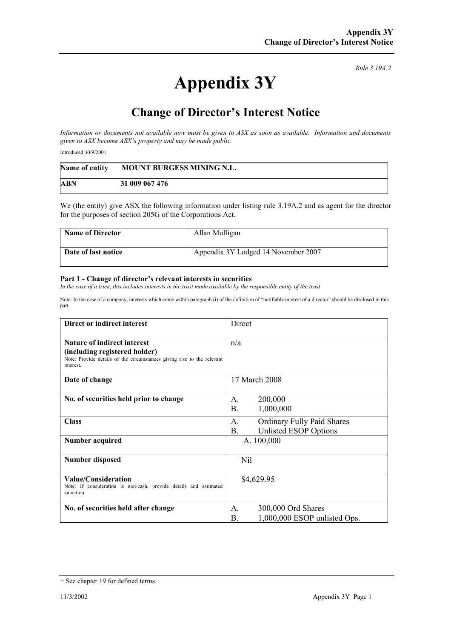## **Appendix 3Y**

*Rule 3.19A.2*

## **Change of Director's Interest Notice**

*Information or documents not available now must be given to ASX as soon as available. Information and documents given to ASX become ASX's property and may be made public.* 

Introduced 30/9/2001.

| Name of entity | <b>MOUNT BURGESS MINING N.L.</b> |
|----------------|----------------------------------|
| <b>ABN</b>     | 31 009 067 476                   |

We (the entity) give ASX the following information under listing rule 3.19A.2 and as agent for the director for the purposes of section 205G of the Corporations Act.

| <b>Name of Director</b> | Allan Mulligan                      |
|-------------------------|-------------------------------------|
| Date of last notice     | Appendix 3Y Lodged 14 November 2007 |

## **Part 1 - Change of director's relevant interests in securities**

In the case of a trust, this includes interests in the trust made available by the responsible entity of the trust

Note: In the case of a company, interests which come within paragraph (i) of the definition of "notifiable interest of a director" should be disclosed in this part.

| Direct or indirect interest                                                                                                                                | Direct                                                                 |  |
|------------------------------------------------------------------------------------------------------------------------------------------------------------|------------------------------------------------------------------------|--|
| <b>Nature of indirect interest</b><br>(including registered holder)<br>Note: Provide details of the circumstances giving rise to the relevant<br>interest. | n/a                                                                    |  |
| Date of change                                                                                                                                             | 17 March 2008                                                          |  |
| No. of securities held prior to change                                                                                                                     | 200,000<br>A.<br>Β.<br>1,000,000                                       |  |
| <b>Class</b>                                                                                                                                               | A.<br><b>Ordinary Fully Paid Shares</b><br>Unlisted ESOP Options<br>В. |  |
| Number acquired                                                                                                                                            | A. 100,000                                                             |  |
| <b>Number disposed</b>                                                                                                                                     | Nil                                                                    |  |
| Value/Consideration<br>Note: If consideration is non-cash, provide details and estimated<br>valuation                                                      | \$4,629.95                                                             |  |
| No. of securities held after change                                                                                                                        | 300,000 Ord Shares<br>A.<br>1,000,000 ESOP unlisted Ops.<br>В.         |  |

<sup>+</sup> See chapter 19 for defined terms.